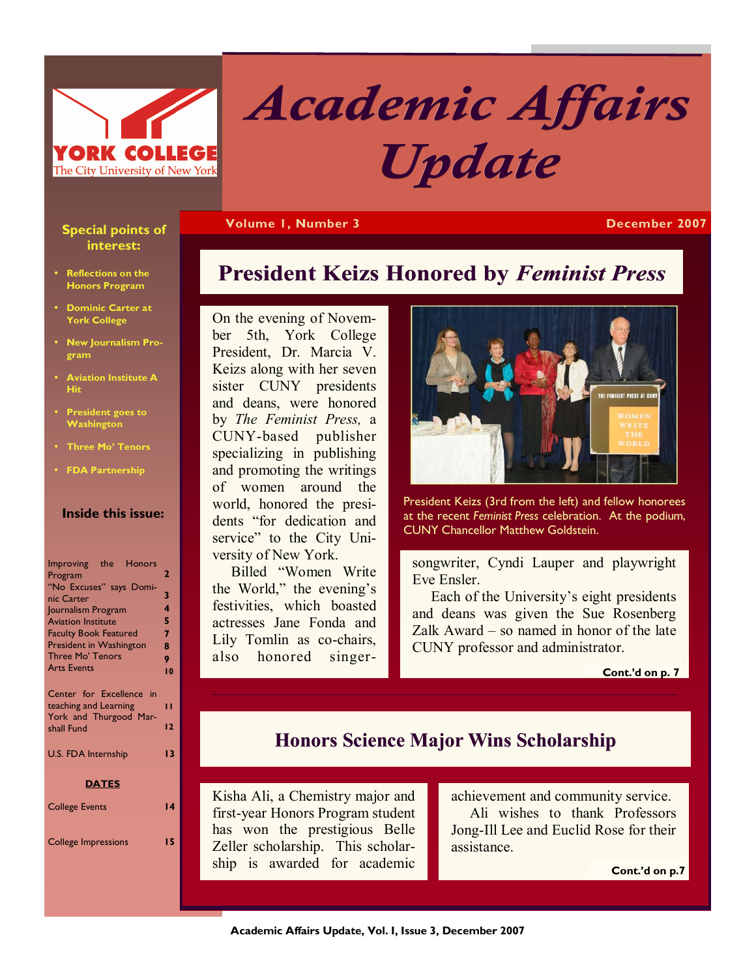

# *Academic Affairs Affairs Update*

**President Keizs Honored by** *Feminist Press* 

**Volume 1, Number 3 December 2007** 

### **Special points of interest:**

- **Reflections on the Honors Program**
- **Dominic Carter at York College**
- **New Journalism Program**
- **Aviation Institute A Hit**
- **President goes to Washington**
- **Three Mo' Tenors**
- **FDA Partnership**

### **Inside this issue:**

| Improving the Honors<br>Program<br>"No Excuses" says Domi-<br>nic Carter<br>Journalism Program<br><b>Aviation Institute</b><br><b>Faculty Book Featured</b><br>President in Washington<br>Three Mo' Tenors<br><b>Arts Events</b> | 2<br>3<br>4<br>5<br>7<br>8<br>9<br>10 |  |  |
|----------------------------------------------------------------------------------------------------------------------------------------------------------------------------------------------------------------------------------|---------------------------------------|--|--|
| Center for Excellence in<br>teaching and Learning<br>York and Thurgood Mar-<br>shall Fund                                                                                                                                        | п<br>12                               |  |  |
| <b>U.S. FDA Internship</b>                                                                                                                                                                                                       |                                       |  |  |
| <b>DATES</b>                                                                                                                                                                                                                     |                                       |  |  |
| <b>College Events</b>                                                                                                                                                                                                            | 14                                    |  |  |
| <b>College Impressions</b>                                                                                                                                                                                                       | 15                                    |  |  |

On the evening of November 5th, York College President, Dr. Marcia V. Keizs along with her seven sister CUNY presidents and deans, were honored by *The Feminist Press,* a CUNY-based publisher specializing in publishing and promoting the writings of women around the world, honored the presidents "for dedication and service" to the City University of New York.

 Billed "Women Write the World," the evening's festivities, which boasted actresses Jane Fonda and Lily Tomlin as co-chairs, also honored singer-

# **IST PRESS AT CO**

President Keizs (3rd from the left) and fellow honorees at the recent *Feminist Press* celebration. At the podium, CUNY Chancellor Matthew Goldstein.

songwriter, Cyndi Lauper and playwright Eve Ensler.

 Each of the University's eight presidents and deans was given the Sue Rosenberg Zalk Award – so named in honor of the late CUNY professor and administrator.

**Cont.'d on p. 7** 

### **Honors Science Major Wins Scholarship**

Kisha Ali, a Chemistry major and first-year Honors Program student has won the prestigious Belle Zeller scholarship. This scholarship is awarded for academic

achievement and community service. Ali wishes to thank Professors Jong-Ill Lee and Euclid Rose for their assistance.

**Cont.'d on p.7**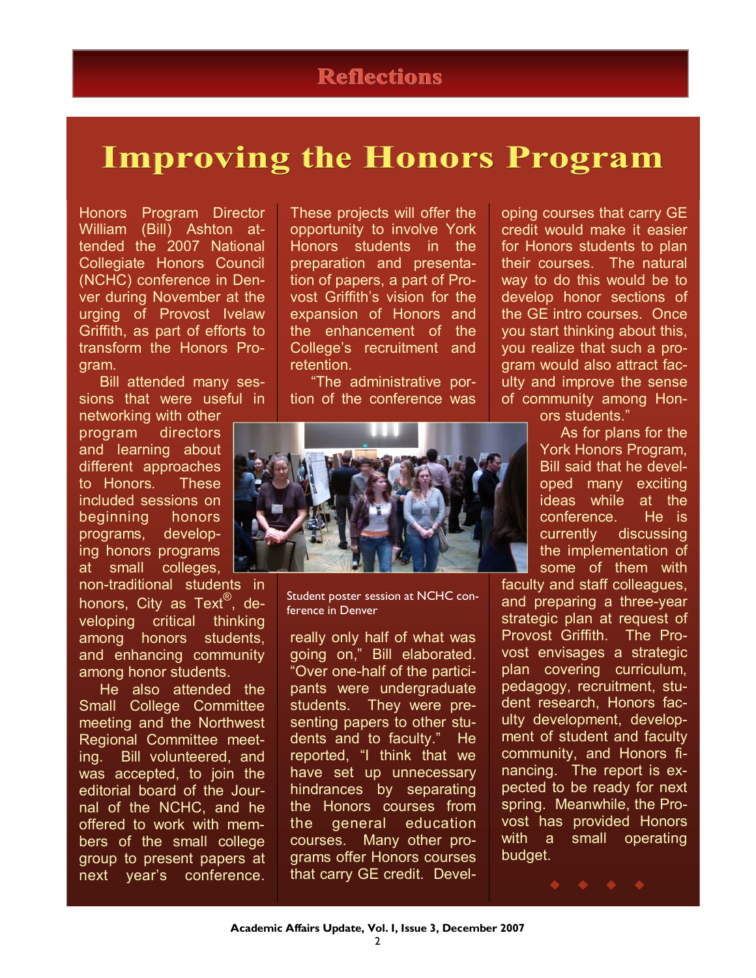# **Improving Improving Improving the Honors Program**

Honors Program Director William (Bill) Ashton attended the 2007 National Collegiate Honors Council (NCHC) conference in Denver during November at the urging of Provost Ivelaw Griffith, as part of efforts to transform the Honors Program.

 Bill attended many sessions that were useful in

networking with other program directors and learning about different approaches to Honors. These included sessions on beginning honors programs, developing honors programs at small colleges,

non-traditional students in honors, City as Text<sup>®</sup>, developing critical thinking among honors students, and enhancing community among honor students.

 He also attended the Small College Committee meeting and the Northwest Regional Committee meeting. Bill volunteered, and was accepted, to join the editorial board of the Journal of the NCHC, and he offered to work with members of the small college group to present papers at next year's conference.

These projects will offer the opportunity to involve York Honors students in the preparation and presentation of papers, a part of Provost Griffith's vision for the expansion of Honors and the enhancement of the College's recruitment and retention.

 "The administrative portion of the conference was



Student poster session at NCHC conference in Denver

really only half of what was going on," Bill elaborated. "Over one-half of the participants were undergraduate students. They were presenting papers to other students and to faculty." He reported, "I think that we have set up unnecessary hindrances by separating the Honors courses from the general education courses. Many other programs offer Honors courses that carry GE credit. Developing courses that carry GE credit would make it easier for Honors students to plan their courses. The natural way to do this would be to develop honor sections of the GE intro courses. Once you start thinking about this, you realize that such a program would also attract faculty and improve the sense of community among Hon-

ors students."

 As for plans for the York Honors Program, Bill said that he developed many exciting ideas while at the conference. He is currently discussing the implementation of some of them with

faculty and staff colleagues, and preparing a three-year strategic plan at request of Provost Griffith. The Provost envisages a strategic plan covering curriculum, pedagogy, recruitment, student research, Honors faculty development, development of student and faculty community, and Honors financing. The report is expected to be ready for next spring. Meanwhile, the Provost has provided Honors with a small operating budget.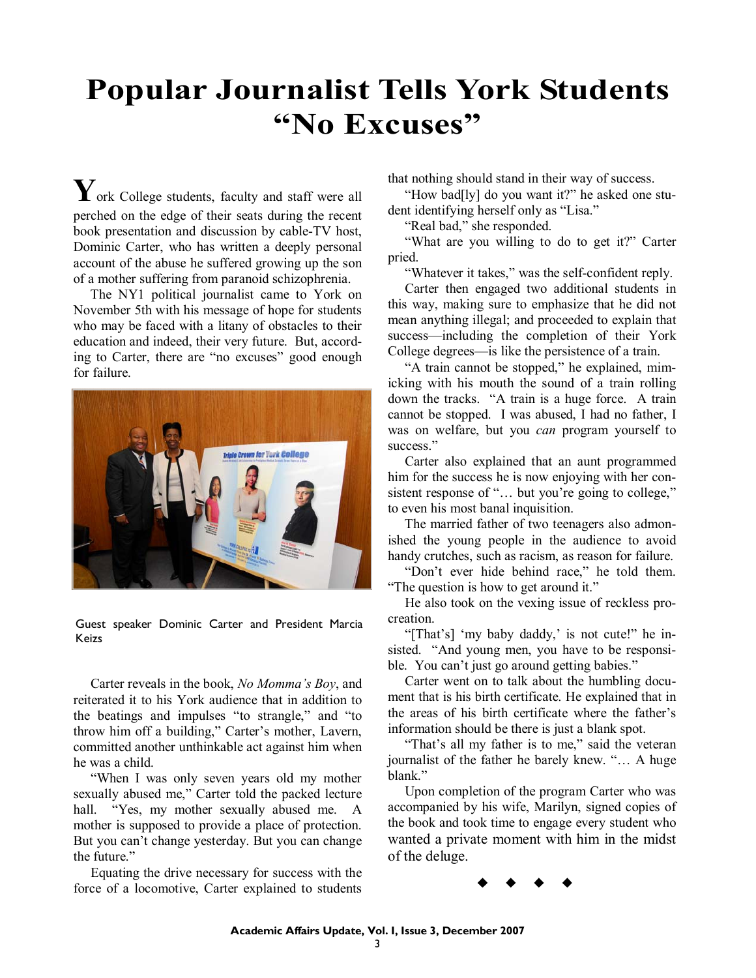# **Popular Journalist Tells York Students "No Excuses"**

**Y**ork College students, faculty and staff were all perched on the edge of their seats during the recent book presentation and discussion by cable-TV host, Dominic Carter, who has written a deeply personal account of the abuse he suffered growing up the son of a mother suffering from paranoid schizophrenia.

 The NY1 political journalist came to York on November 5th with his message of hope for students who may be faced with a litany of obstacles to their education and indeed, their very future. But, according to Carter, there are "no excuses" good enough for failure.



Guest speaker Dominic Carter and President Marcia Keizs

 Carter reveals in the book, *No Momma's Boy*, and reiterated it to his York audience that in addition to the beatings and impulses "to strangle," and "to throw him off a building," Carter's mother, Lavern, committed another unthinkable act against him when he was a child.

 "When I was only seven years old my mother sexually abused me," Carter told the packed lecture hall. "Yes, my mother sexually abused me. A mother is supposed to provide a place of protection. But you can't change yesterday. But you can change the future."

 Equating the drive necessary for success with the force of a locomotive, Carter explained to students that nothing should stand in their way of success.

 "How bad[ly] do you want it?" he asked one student identifying herself only as "Lisa."

"Real bad," she responded.

 "What are you willing to do to get it?" Carter pried.

"Whatever it takes," was the self-confident reply.

 Carter then engaged two additional students in this way, making sure to emphasize that he did not mean anything illegal; and proceeded to explain that success—including the completion of their York College degrees—is like the persistence of a train.

 "A train cannot be stopped," he explained, mimicking with his mouth the sound of a train rolling down the tracks. "A train is a huge force. A train cannot be stopped. I was abused, I had no father, I was on welfare, but you *can* program yourself to success."

 Carter also explained that an aunt programmed him for the success he is now enjoying with her consistent response of "... but you're going to college," to even his most banal inquisition.

 The married father of two teenagers also admonished the young people in the audience to avoid handy crutches, such as racism, as reason for failure.

 "Don't ever hide behind race," he told them. "The question is how to get around it."

 He also took on the vexing issue of reckless procreation.

 "[That's] 'my baby daddy,' is not cute!" he insisted. "And young men, you have to be responsible. You can't just go around getting babies."

 Carter went on to talk about the humbling document that is his birth certificate. He explained that in the areas of his birth certificate where the father's information should be there is just a blank spot.

"That's all my father is to me," said the veteran journalist of the father he barely knew. "… A huge blank."

 Upon completion of the program Carter who was accompanied by his wife, Marilyn, signed copies of the book and took time to engage every student who wanted a private moment with him in the midst of the deluge.

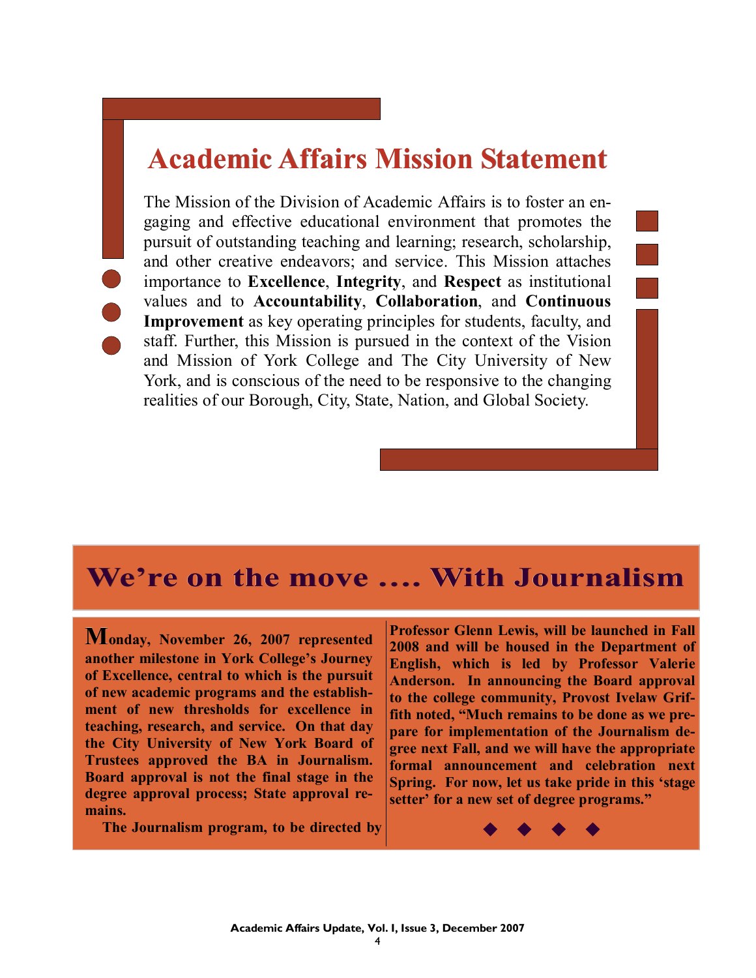# **Academic Affairs Mission Statement Academic Affairs Mission Statement**

The Mission of the Division of Academic Affairs is to foster an engaging and effective educational environment that promotes the pursuit of outstanding teaching and learning; research, scholarship, and other creative endeavors; and service. This Mission attaches importance to **Excellence**, **Integrity**, and **Respect** as institutional values and to **Accountability**, **Collaboration**, and **Continuous Improvement** as key operating principles for students, faculty, and staff. Further, this Mission is pursued in the context of the Vision and Mission of York College and The City University of New York, and is conscious of the need to be responsive to the changing realities of our Borough, City, State, Nation, and Global Society.

# **We're on the move …. With Journalism**

**Monday, November 26, 2007 represented another milestone in York College's Journey of Excellence, central to which is the pursuit of new academic programs and the establishment of new thresholds for excellence in teaching, research, and service. On that day the City University of New York Board of Trustees approved the BA in Journalism. Board approval is not the final stage in the degree approval process; State approval remains.** 

 **The Journalism program, to be directed by** 

**Professor Glenn Lewis, will be launched in Fall 2008 and will be housed in the Department of English, which is led by Professor Valerie Anderson. In announcing the Board approval to the college community, Provost Ivelaw Griffith noted, "Much remains to be done as we prepare for implementation of the Journalism degree next Fall, and we will have the appropriate formal announcement and celebration next Spring. For now, let us take pride in this 'stage setter' for a new set of degree programs."**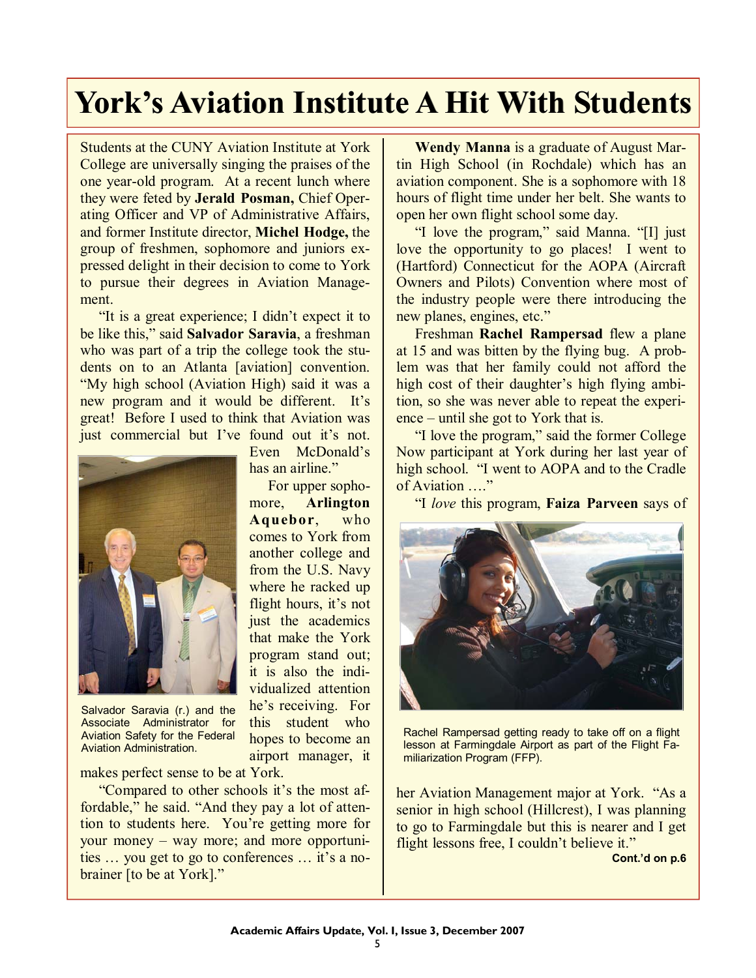# **York's Aviation Institute A Hit With Students York's Aviation Institute A Hit With Students**

Students at the CUNY Aviation Institute at York College are universally singing the praises of the one year-old program. At a recent lunch where they were feted by **Jerald Posman,** Chief Operating Officer and VP of Administrative Affairs, and former Institute director, **Michel Hodge,** the group of freshmen, sophomore and juniors expressed delight in their decision to come to York to pursue their degrees in Aviation Management.

 "It is a great experience; I didn't expect it to be like this," said **Salvador Saravia**, a freshman who was part of a trip the college took the students on to an Atlanta [aviation] convention. "My high school (Aviation High) said it was a new program and it would be different. It's great! Before I used to think that Aviation was just commercial but I've found out it's not.

> Even McDonald's has an airline."

 For upper sophomore, **Arlington Aquebor**, who comes to York from another college and from the U.S. Navy where he racked up flight hours, it's not just the academics that make the York program stand out; it is also the individualized attention he's receiving. For this student who hopes to become an airport manager, it



Salvador Saravia (r.) and the Associate Administrator for Aviation Safety for the Federal Aviation Administration.

makes perfect sense to be at York.

 "Compared to other schools it's the most affordable," he said. "And they pay a lot of attention to students here. You're getting more for your money – way more; and more opportunities … you get to go to conferences … it's a nobrainer [to be at York]."

 **Wendy Manna** is a graduate of August Martin High School (in Rochdale) which has an aviation component. She is a sophomore with 18 hours of flight time under her belt. She wants to open her own flight school some day.

 "I love the program," said Manna. "[I] just love the opportunity to go places! I went to (Hartford) Connecticut for the AOPA (Aircraft Owners and Pilots) Convention where most of the industry people were there introducing the new planes, engines, etc."

 Freshman **Rachel Rampersad** flew a plane at 15 and was bitten by the flying bug. A problem was that her family could not afford the high cost of their daughter's high flying ambition, so she was never able to repeat the experience – until she got to York that is.

 "I love the program," said the former College Now participant at York during her last year of high school. "I went to AOPA and to the Cradle of Aviation …."

"I *love* this program, **Faiza Parveen** says of



Rachel Rampersad getting ready to take off on a flight lesson at Farmingdale Airport as part of the Flight Familiarization Program (FFP).

her Aviation Management major at York. "As a senior in high school (Hillcrest), I was planning to go to Farmingdale but this is nearer and I get flight lessons free, I couldn't believe it."

**Cont.'d on p.6**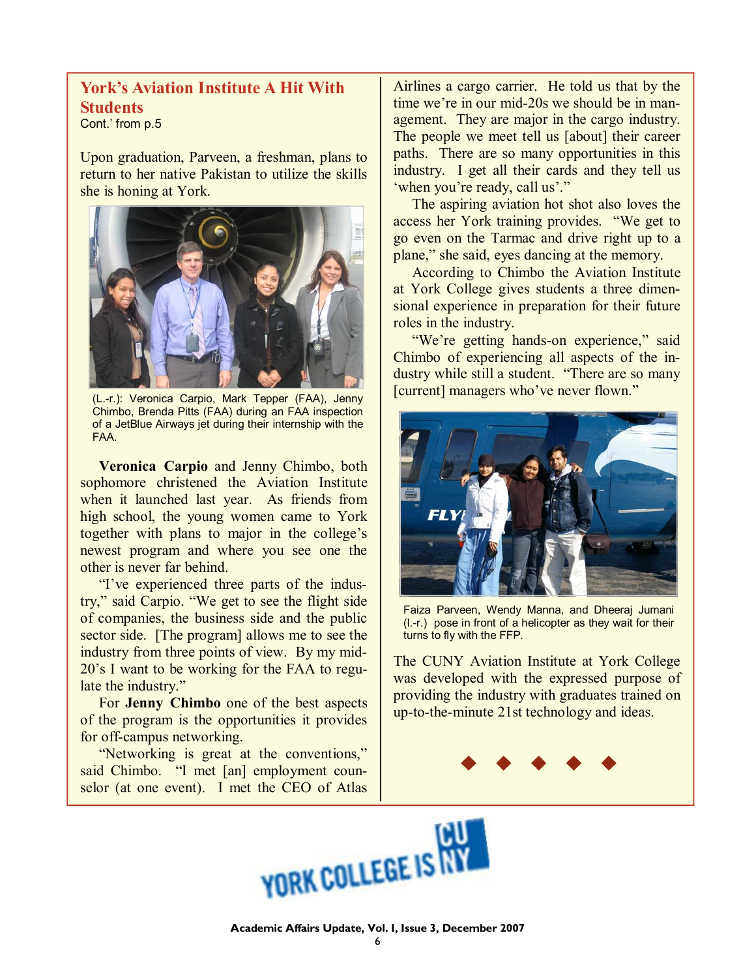### **York's Aviation Institute A Hit With Students**

Cont.' from p.5

Upon graduation, Parveen, a freshman, plans to return to her native Pakistan to utilize the skills she is honing at York.



(L.-r.): Veronica Carpio, Mark Tepper (FAA), Jenny Chimbo, Brenda Pitts (FAA) during an FAA inspection of a JetBlue Airways jet during their internship with the FAA.

 **Veronica Carpio** and Jenny Chimbo, both sophomore christened the Aviation Institute when it launched last year. As friends from high school, the young women came to York together with plans to major in the college's newest program and where you see one the other is never far behind.

 "I've experienced three parts of the industry," said Carpio. "We get to see the flight side of companies, the business side and the public sector side. [The program] allows me to see the industry from three points of view. By my mid-20's I want to be working for the FAA to regulate the industry."

 For **Jenny Chimbo** one of the best aspects of the program is the opportunities it provides for off-campus networking.

 "Networking is great at the conventions," said Chimbo. "I met [an] employment counselor (at one event). I met the CEO of Atlas Airlines a cargo carrier. He told us that by the time we're in our mid-20s we should be in management. They are major in the cargo industry. The people we meet tell us [about] their career paths. There are so many opportunities in this industry. I get all their cards and they tell us 'when you're ready, call us'."

 The aspiring aviation hot shot also loves the access her York training provides. "We get to go even on the Tarmac and drive right up to a plane," she said, eyes dancing at the memory.

 According to Chimbo the Aviation Institute at York College gives students a three dimensional experience in preparation for their future roles in the industry.

"We're getting hands-on experience," said Chimbo of experiencing all aspects of the industry while still a student. "There are so many [current] managers who've never flown."



Faiza Parveen, Wendy Manna, and Dheeraj Jumani (l.-r.) pose in front of a helicopter as they wait for their turns to fly with the FFP.

The CUNY Aviation Institute at York College was developed with the expressed purpose of providing the industry with graduates trained on up-to-the-minute 21st technology and ideas.



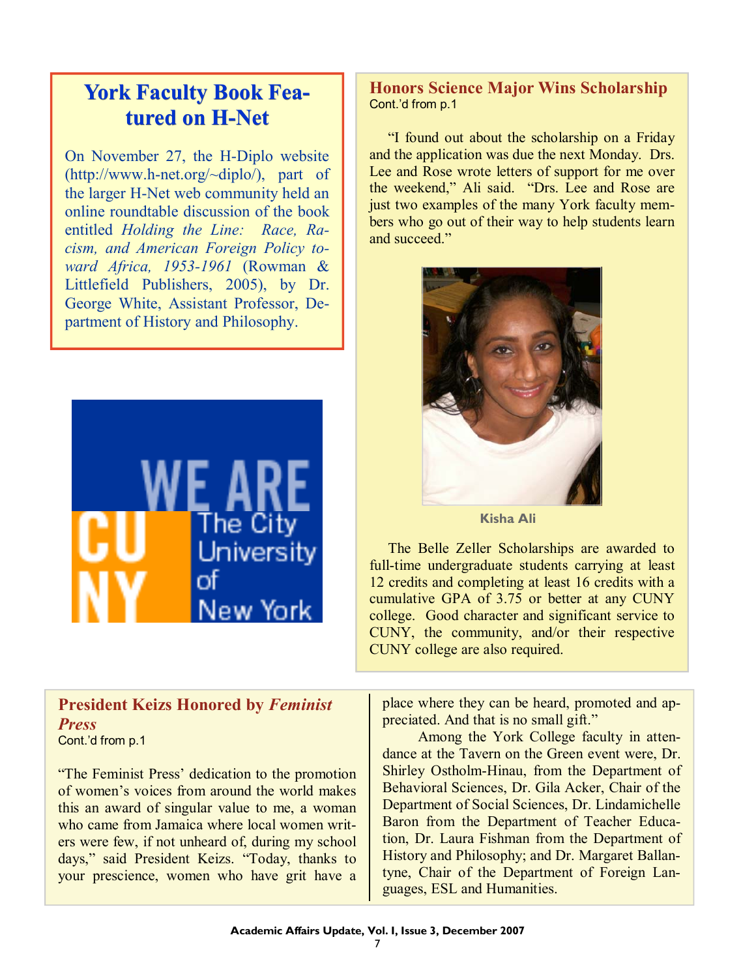# **York Faculty Book Featured on H-Net**

On November 27, the H-Diplo website (http://www.h-net.org/~diplo/), part of the larger H-Net web community held an online roundtable discussion of the book entitled *Holding the Line: Race, Racism, and American Foreign Policy toward Africa, 1953-1961* (Rowman & Littlefield Publishers, 2005), by Dr. George White, Assistant Professor, Department of History and Philosophy.



### **President Keizs Honored by** *Feminist Press*  Cont.'d from p.1

"The Feminist Press' dedication to the promotion of women's voices from around the world makes this an award of singular value to me, a woman who came from Jamaica where local women writers were few, if not unheard of, during my school days," said President Keizs. "Today, thanks to your prescience, women who have grit have a

### **Honors Science Major Wins Scholarship**  Cont.'d from p.1

 "I found out about the scholarship on a Friday and the application was due the next Monday. Drs. Lee and Rose wrote letters of support for me over the weekend," Ali said. "Drs. Lee and Rose are just two examples of the many York faculty members who go out of their way to help students learn and succeed."



**Kisha Ali** 

 The Belle Zeller Scholarships are awarded to full-time undergraduate students carrying at least 12 credits and completing at least 16 credits with a cumulative GPA of 3.75 or better at any CUNY college. Good character and significant service to CUNY, the community, and/or their respective CUNY college are also required.

place where they can be heard, promoted and appreciated. And that is no small gift."

 Among the York College faculty in attendance at the Tavern on the Green event were, Dr. Shirley Ostholm-Hinau, from the Department of Behavioral Sciences, Dr. Gila Acker, Chair of the Department of Social Sciences, Dr. Lindamichelle Baron from the Department of Teacher Education, Dr. Laura Fishman from the Department of History and Philosophy; and Dr. Margaret Ballantyne, Chair of the Department of Foreign Languages, ESL and Humanities.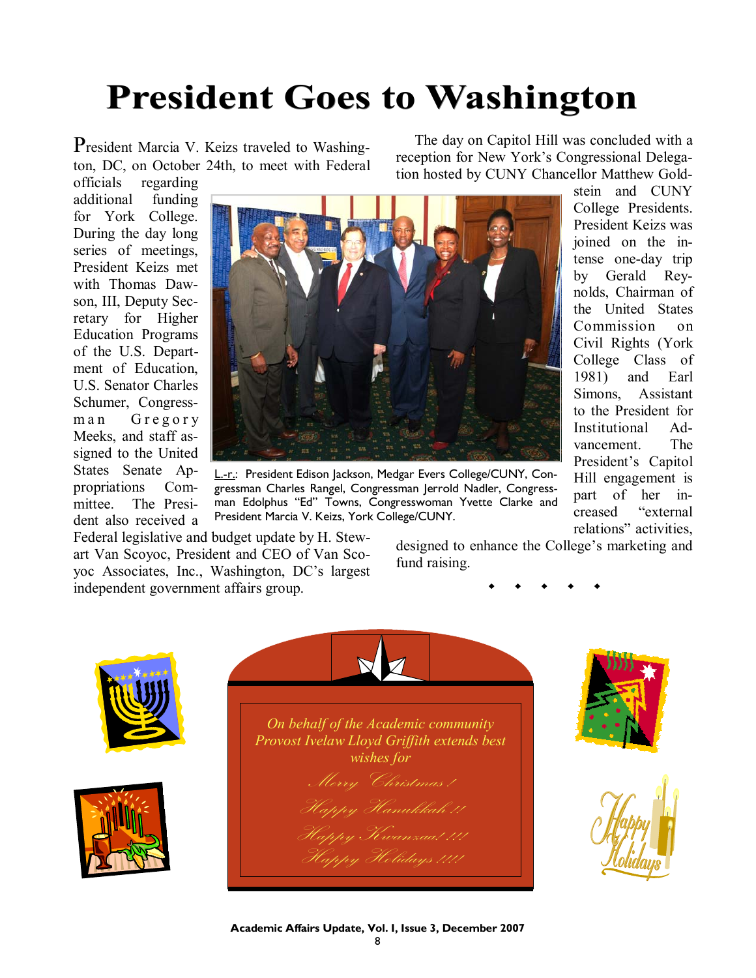# **President Goes to Washington**

President Marcia V. Keizs traveled to Washington, DC, on October 24th, to meet with Federal

 The day on Capitol Hill was concluded with a reception for New York's Congressional Delegation hosted by CUNY Chancellor Matthew Gold-

> stein and CUNY College Presidents. President Keizs was joined on the intense one-day trip by Gerald Reynolds, Chairman of the United States Commission on Civil Rights (York College Class of 1981) and Earl Simons, Assistant to the President for Institutional Advancement. The President's Capitol Hill engagement is part of her increased "external relations" activities,

officials regarding additional funding for York College. During the day long series of meetings, President Keizs met with Thomas Dawson, III, Deputy Secretary for Higher Education Programs of the U.S. Department of Education, U.S. Senator Charles Schumer, Congressman Gregory Meeks, and staff assigned to the United States Senate Appropriations Committee. The President also received a



L.-r.: President Edison Jackson, Medgar Evers College/CUNY, Congressman Charles Rangel, Congressman Jerrold Nadler, Congressman Edolphus "Ed" Towns, Congresswoman Yvette Clarke and President Marcia V. Keizs, York College/CUNY.

Federal legislative and budget update by H. Stewart Van Scoyoc, President and CEO of Van Scoyoc Associates, Inc., Washington, DC's largest independent government affairs group.

designed to enhance the College's marketing and fund raising.



**Academic Affairs Update, Vol. I, Issue 3, December 2007**  8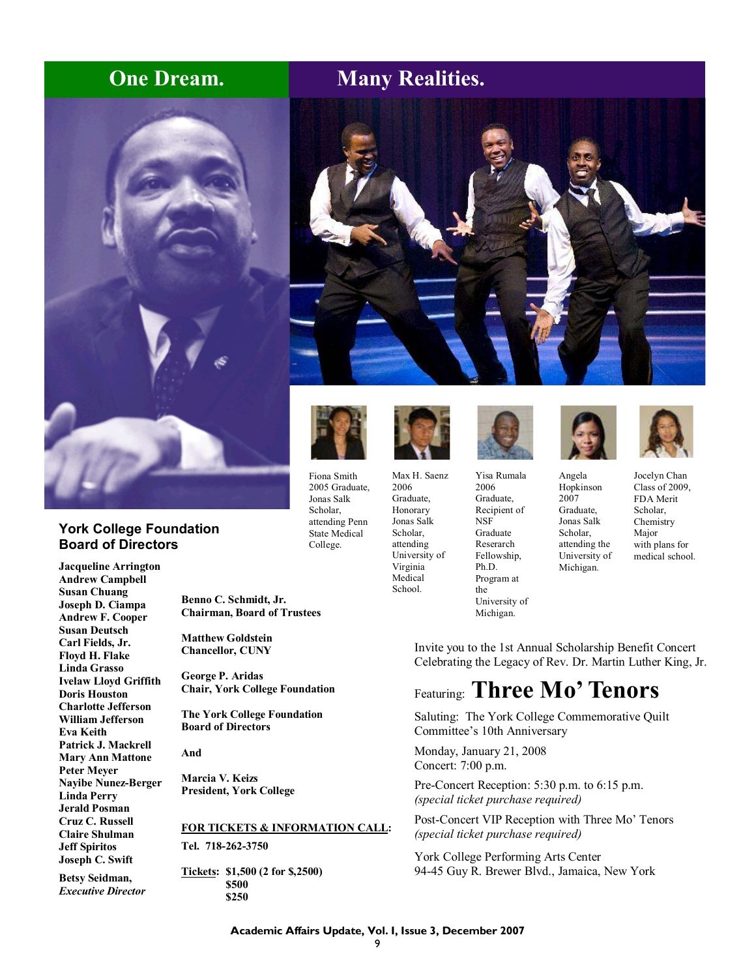## **One Dream.** Many Realities.



### **York College Foundation Board of Directors**

**Jacqueline Arrington Andrew Campbell Susan Chuang Joseph D. Ciampa Andrew F. Cooper Susan Deutsch Carl Fields, Jr. Floyd H. Flake Linda Grasso Ivelaw Lloyd Griffith Doris Houston Charlotte Jefferson William Jefferson Eva Keith Patrick J. Mackrell Mary Ann Mattone Peter Meyer Nayibe Nunez-Berger Linda Perry Jerald Posman Cruz C. Russell Claire Shulman Jeff Spiritos Joseph C. Swift** 

**Betsy Seidman,**  *Executive Director*  **Benno C. Schmidt, Jr. Chairman, Board of Trustees** 

**Matthew Goldstein Chancellor, CUNY** 

**George P. Aridas Chair, York College Foundation** 

**The York College Foundation Board of Directors** 

**And** 

**Marcia V. Keizs President, York College** 

### **FOR TICKETS & INFORMATION CALL:**

**Tel. 718-262-3750** 

**Tickets: \$1,500 (2 for \$,2500) \$500 \$250** 





Fiona Smith 2005 Graduate, Jonas Salk Scholar, attending Penn State Medical College.



Max H. Saenz 2006 Graduate, Honorary Jonas Salk Scholar, attending University of Virginia Medical School.



Yisa Rumala 2006 Graduate, Recipient of NSF Graduate Reserarch Fellowship, Ph.D. Program at the University of

Michigan.





Angela Hopkinson 2007 Graduate, Jonas Salk Scholar, attending the University of Michigan.

Jocelyn Chan Class of 2009, FDA Merit Scholar, **Chemistry** Major with plans for medical school.

Invite you to the 1st Annual Scholarship Benefit Concert Celebrating the Legacy of Rev. Dr. Martin Luther King, Jr.

# Featuring: **Three Mo' Tenors**

Saluting: The York College Commemorative Quilt Committee's 10th Anniversary

Monday, January 21, 2008 Concert: 7:00 p.m.

Pre-Concert Reception: 5:30 p.m. to 6:15 p.m. *(special ticket purchase required)*

Post-Concert VIP Reception with Three Mo' Tenors *(special ticket purchase required)*

York College Performing Arts Center 94-45 Guy R. Brewer Blvd., Jamaica, New York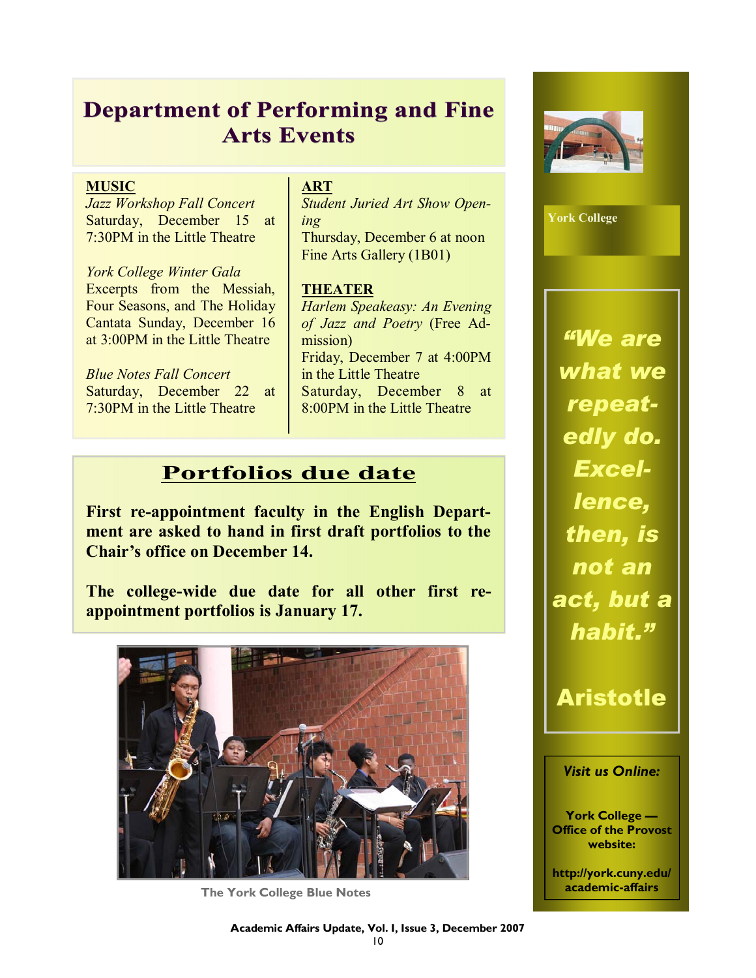# **Department of Performing and Fine Arts Events Arts Events**

### **MUSIC**

*Jazz Workshop Fall Concert*  Saturday, December 15 at 7:30PM in the Little Theatre

*York College Winter Gala*  Excerpts from the Messiah, Four Seasons, and The Holiday Cantata Sunday, December 16 at 3:00PM in the Little Theatre

*Blue Notes Fall Concert*  Saturday, December 22 at 7:30PM in the Little Theatre

### **ART**

*Student Juried Art Show Opening*  Thursday, December 6 at noon Fine Arts Gallery (1B01)

### **THEATER**

*Harlem Speakeasy: An Evening of Jazz and Poetry* (Free Admission) Friday, December 7 at 4:00PM in the Little Theatre Saturday, December 8 at 8:00PM in the Little Theatre

### **Portfolios due date**

**First re-appointment faculty in the English Department are asked to hand in first draft portfolios to the Chair's office on December 14.** 

**The college-wide due date for all other first reappointment portfolios is January 17.**



**The York College Blue Notes** 



**York College** 

*"We are what we repeatedly do. Excellence, then, is not an act, but a habit."* 

# Aristotle

### *Visit us Online:*

**York College — Office of the Provost website:** 

**http://york.cuny.edu/ academic-affairs**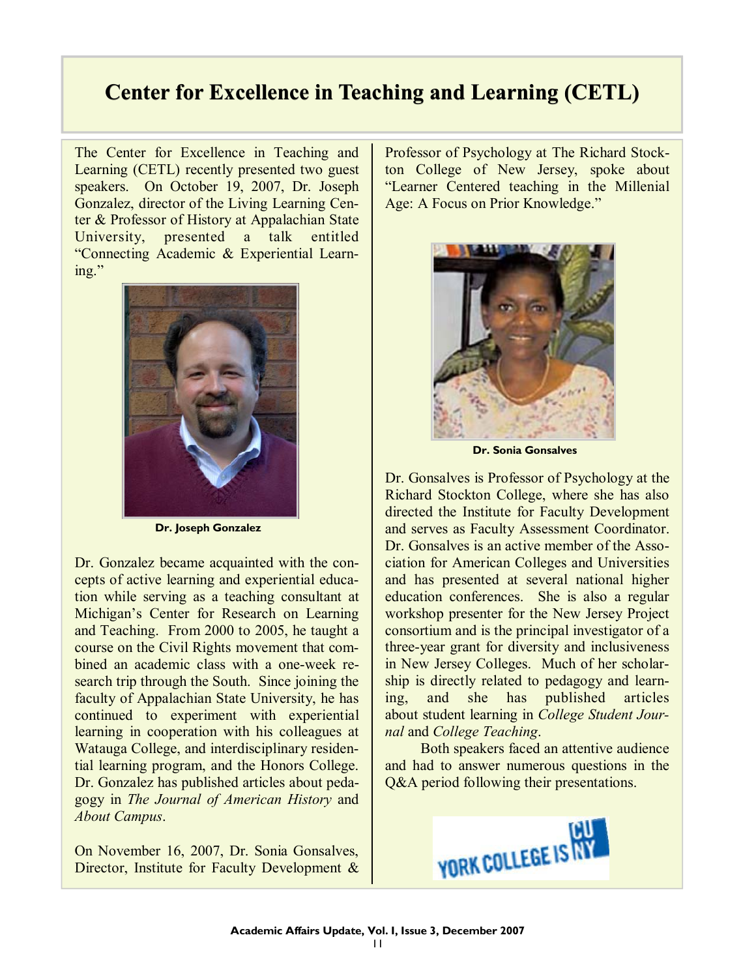# **Center for Excellence in Teaching and Learning (CETL)**

The Center for Excellence in Teaching and Learning (CETL) recently presented two guest speakers. On October 19, 2007, Dr. Joseph Gonzalez, director of the Living Learning Center & Professor of History at Appalachian State University, presented a talk entitled "Connecting Academic & Experiential Learning."



**Dr. Joseph Gonzalez** 

Dr. Gonzalez became acquainted with the concepts of active learning and experiential education while serving as a teaching consultant at Michigan's Center for Research on Learning and Teaching. From 2000 to 2005, he taught a course on the Civil Rights movement that combined an academic class with a one-week research trip through the South. Since joining the faculty of Appalachian State University, he has continued to experiment with experiential learning in cooperation with his colleagues at Watauga College, and interdisciplinary residential learning program, and the Honors College. Dr. Gonzalez has published articles about pedagogy in *The Journal of American History* and *About Campus*.

On November 16, 2007, Dr. Sonia Gonsalves, Director, Institute for Faculty Development &

Professor of Psychology at The Richard Stockton College of New Jersey, spoke about "Learner Centered teaching in the Millenial Age: A Focus on Prior Knowledge."



**Dr. Sonia Gonsalves** 

Dr. Gonsalves is Professor of Psychology at the Richard Stockton College, where she has also directed the Institute for Faculty Development and serves as Faculty Assessment Coordinator. Dr. Gonsalves is an active member of the Association for American Colleges and Universities and has presented at several national higher education conferences. She is also a regular workshop presenter for the New Jersey Project consortium and is the principal investigator of a three-year grant for diversity and inclusiveness in New Jersey Colleges. Much of her scholarship is directly related to pedagogy and learning, and she has published articles about student learning in *College Student Journal* and *College Teaching*.

 Both speakers faced an attentive audience and had to answer numerous questions in the Q&A period following their presentations.

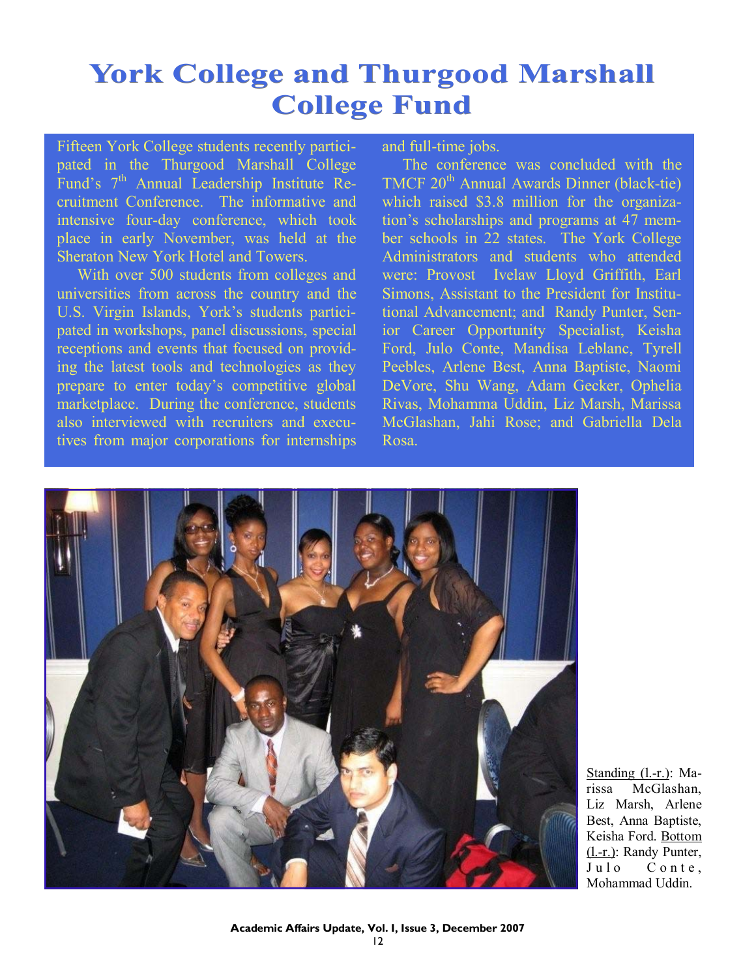# York College and Thurgood Marshall **College Fund**

Fifteen York College students recently participated in the Thurgood Marshall College Fund's 7<sup>th</sup> Annual Leadership Institute Recruitment Conference. The informative and intensive four-day conference, which took place in early November, was held at the Sheraton New York Hotel and Towers.

 With over 500 students from colleges and universities from across the country and the U.S. Virgin Islands, York's students participated in workshops, panel discussions, special receptions and events that focused on providing the latest tools and technologies as they prepare to enter today's competitive global marketplace. During the conference, students also interviewed with recruiters and executives from major corporations for internships

and full-time jobs.

 The conference was concluded with the TMCF 20<sup>th</sup> Annual Awards Dinner (black-tie) which raised \$3.8 million for the organization's scholarships and programs at 47 member schools in 22 states. The York College Administrators and students who attended were: Provost Ivelaw Lloyd Griffith, Earl Simons, Assistant to the President for Institutional Advancement; and Randy Punter, Senior Career Opportunity Specialist, Keisha Ford, Julo Conte, Mandisa Leblanc, Tyrell Peebles, Arlene Best, Anna Baptiste, Naomi DeVore, Shu Wang, Adam Gecker, Ophelia Rivas, Mohamma Uddin, Liz Marsh, Marissa McGlashan, Jahi Rose; and Gabriella Dela Rosa.



Standing (l.-r.): Marissa McGlashan, Liz Marsh, Arlene Best, Anna Baptiste, Keisha Ford. Bottom (l.-r.): Randy Punter, Julo Conte. Mohammad Uddin.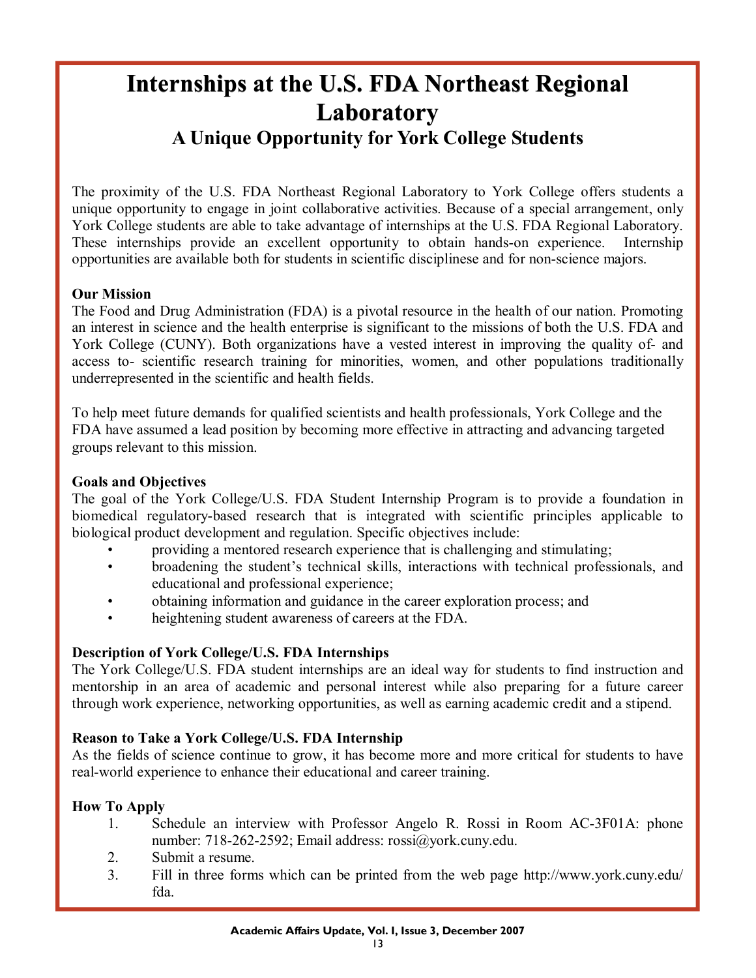# **Internships at the U.S. FDA Northeast Regional Laboratory Laboratory A Unique Opportunity for York College Students**

The proximity of the U.S. FDA Northeast Regional Laboratory to York College offers students a unique opportunity to engage in joint collaborative activities. Because of a special arrangement, only York College students are able to take advantage of internships at the U.S. FDA Regional Laboratory. These internships provide an excellent opportunity to obtain hands-on experience. Internship opportunities are available both for students in scientific disciplinese and for non-science majors.

### **Our Mission**

The Food and Drug Administration (FDA) is a pivotal resource in the health of our nation. Promoting an interest in science and the health enterprise is significant to the missions of both the U.S. FDA and York College (CUNY). Both organizations have a vested interest in improving the quality of- and access to- scientific research training for minorities, women, and other populations traditionally underrepresented in the scientific and health fields.

To help meet future demands for qualified scientists and health professionals, York College and the FDA have assumed a lead position by becoming more effective in attracting and advancing targeted groups relevant to this mission.

### **Goals and Objectives**

The goal of the York College/U.S. FDA Student Internship Program is to provide a foundation in biomedical regulatory-based research that is integrated with scientific principles applicable to biological product development and regulation. Specific objectives include:

- providing a mentored research experience that is challenging and stimulating;
- broadening the student's technical skills, interactions with technical professionals, and educational and professional experience;
- obtaining information and guidance in the career exploration process; and
- heightening student awareness of careers at the FDA.

### **Description of York College/U.S. FDA Internships**

The York College/U.S. FDA student internships are an ideal way for students to find instruction and mentorship in an area of academic and personal interest while also preparing for a future career through work experience, networking opportunities, as well as earning academic credit and a stipend.

### **Reason to Take a York College/U.S. FDA Internship**

As the fields of science continue to grow, it has become more and more critical for students to have real-world experience to enhance their educational and career training.

### **How To Apply**

- 1. Schedule an interview with Professor Angelo R. Rossi in Room AC-3F01A: phone number: 718-262-2592; Email address: rossi@york.cuny.edu.
- 2. Submit a resume.
- 3. Fill in three forms which can be printed from the web page http://www.york.cuny.edu/ fda.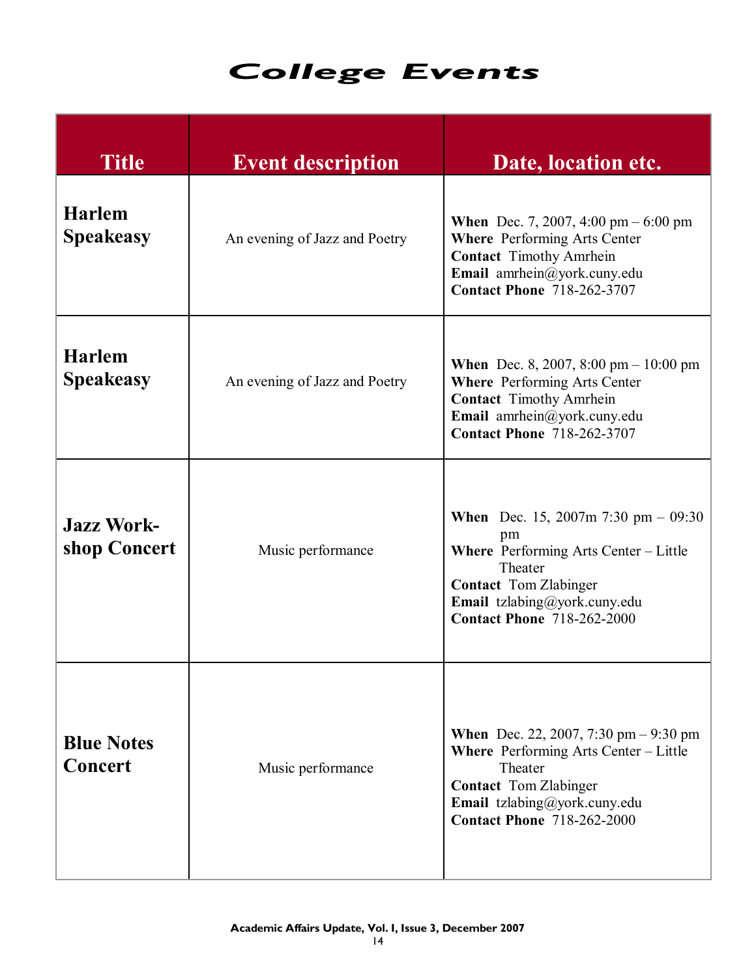# *College Events College Events*

| <b>Title</b>                        | <b>Event description</b>      | Date, location etc.                                                                                                                                                                                                |
|-------------------------------------|-------------------------------|--------------------------------------------------------------------------------------------------------------------------------------------------------------------------------------------------------------------|
| <b>Harlem</b><br><b>Speakeasy</b>   | An evening of Jazz and Poetry | <b>When</b> Dec. 7, 2007, 4:00 pm $-6:00$ pm<br><b>Where</b> Performing Arts Center<br><b>Contact Timothy Amrhein</b><br>Email amrhein@york.cuny.edu<br><b>Contact Phone 718-262-3707</b>                          |
| <b>Harlem</b><br><b>Speakeasy</b>   | An evening of Jazz and Poetry | <b>When</b> Dec. 8, 2007, 8:00 pm $- 10:00$ pm<br><b>Where Performing Arts Center</b><br><b>Contact Timothy Amrhein</b><br>Email amrhein@york.cuny.edu<br><b>Contact Phone 718-262-3707</b>                        |
| <b>Jazz Work-</b><br>shop Concert   | Music performance             | <b>When</b> Dec. 15, 2007m 7:30 pm $-$ 09:30<br>pm<br><b>Where</b> Performing Arts Center – Little<br>Theater<br><b>Contact</b> Tom Zlabinger<br>Email tzlabing@york.cuny.edu<br><b>Contact Phone 718-262-2000</b> |
| <b>Blue Notes</b><br><b>Concert</b> | Music performance             | <b>When</b> Dec. 22, 2007, 7:30 pm $-9:30$ pm<br><b>Where</b> Performing Arts Center – Little<br>Theater<br><b>Contact</b> Tom Zlabinger<br>Email tzlabing@york.cuny.edu<br><b>Contact Phone 718-262-2000</b>      |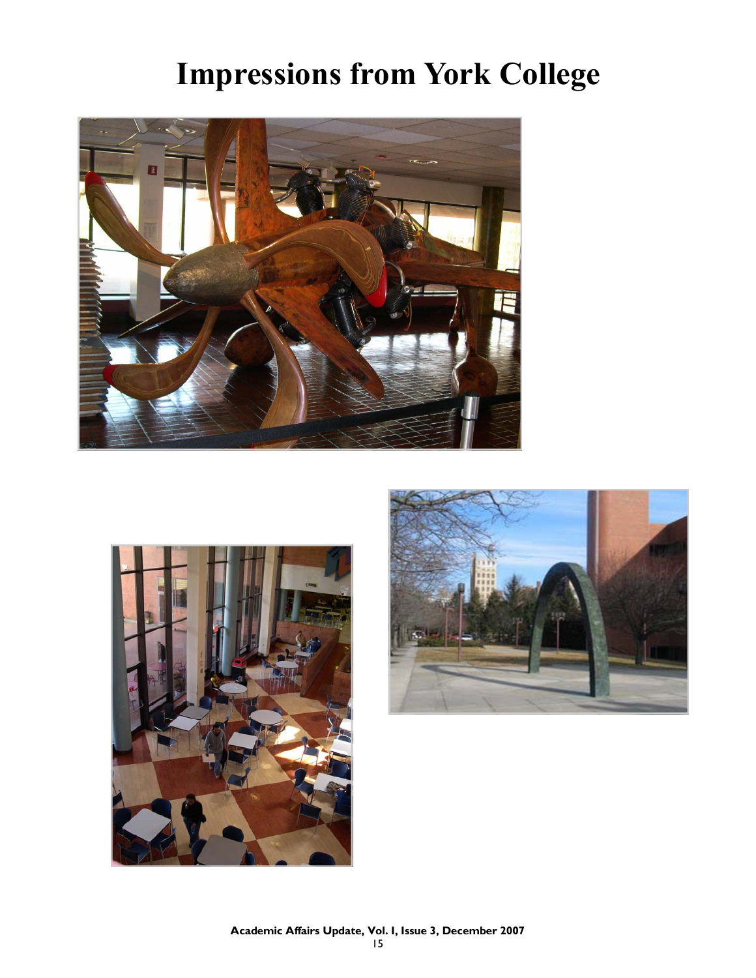# **Impressions from York College**